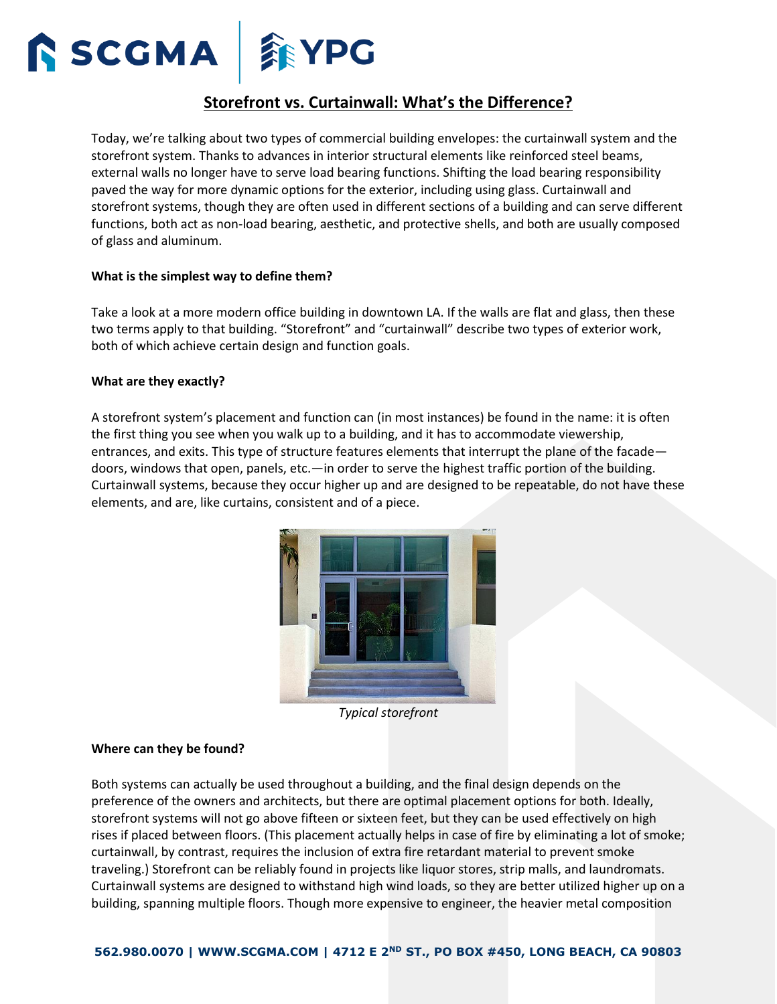

# **Storefront vs. Curtainwall: What's the Difference?**

Today, we're talking about two types of commercial building envelopes: the curtainwall system and the storefront system. Thanks to advances in interior structural elements like reinforced steel beams, external walls no longer have to serve load bearing functions. Shifting the load bearing responsibility paved the way for more dynamic options for the exterior, including using glass. Curtainwall and storefront systems, though they are often used in different sections of a building and can serve different functions, both act as non-load bearing, aesthetic, and protective shells, and both are usually composed of glass and aluminum.

#### **What is the simplest way to define them?**

Take a look at a more modern office building in downtown LA. If the walls are flat and glass, then these two terms apply to that building. "Storefront" and "curtainwall" describe two types of exterior work, both of which achieve certain design and function goals.

#### **What are they exactly?**

A storefront system's placement and function can (in most instances) be found in the name: it is often the first thing you see when you walk up to a building, and it has to accommodate viewership, entrances, and exits. This type of structure features elements that interrupt the plane of the facade doors, windows that open, panels, etc.—in order to serve the highest traffic portion of the building. Curtainwall systems, because they occur higher up and are designed to be repeatable, do not have these elements, and are, like curtains, consistent and of a piece.



*Typical storefront*

#### **Where can they be found?**

Both systems can actually be used throughout a building, and the final design depends on the preference of the owners and architects, but there are optimal placement options for both. Ideally, storefront systems will not go above fifteen or sixteen feet, but they can be used effectively on high rises if placed between floors. (This placement actually helps in case of fire by eliminating a lot of smoke; curtainwall, by contrast, requires the inclusion of extra fire retardant material to prevent smoke traveling.) Storefront can be reliably found in projects like liquor stores, strip malls, and laundromats. Curtainwall systems are designed to withstand high wind loads, so they are better utilized higher up on a building, spanning multiple floors. Though more expensive to engineer, the heavier metal composition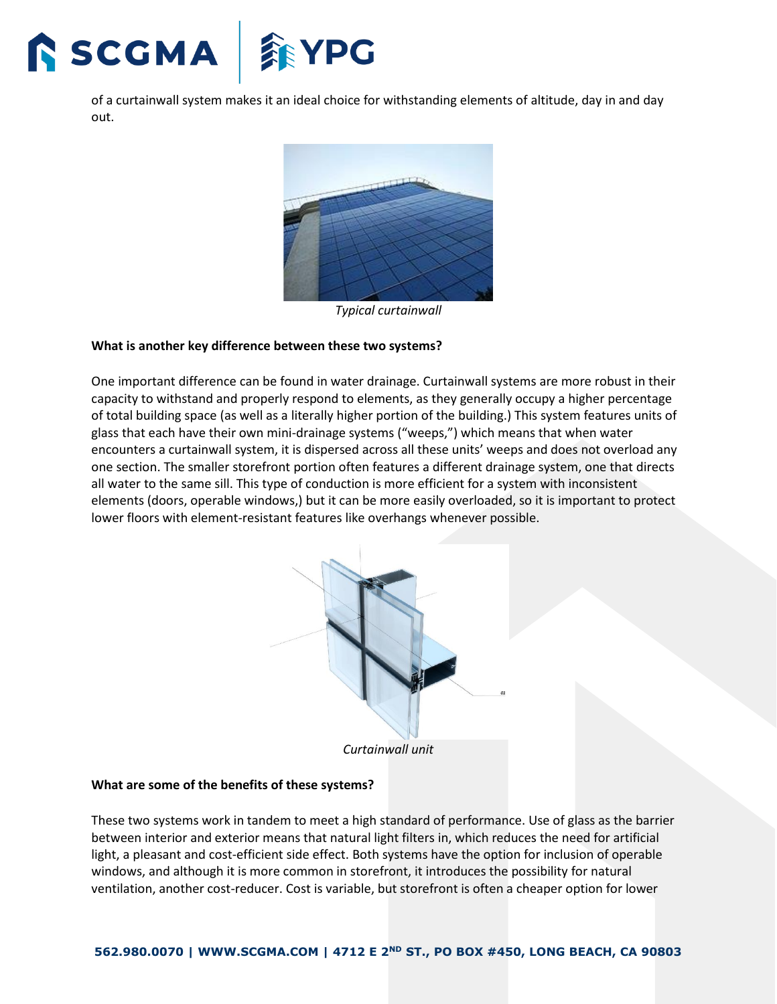

of a curtainwall system makes it an ideal choice for withstanding elements of altitude, day in and day out.



*Typical curtainwall*

### **What is another key difference between these two systems?**

One important difference can be found in water drainage. Curtainwall systems are more robust in their capacity to withstand and properly respond to elements, as they generally occupy a higher percentage of total building space (as well as a literally higher portion of the building.) This system features units of glass that each have their own mini-drainage systems ("weeps,") which means that when water encounters a curtainwall system, it is dispersed across all these units' weeps and does not overload any one section. The smaller storefront portion often features a different drainage system, one that directs all water to the same sill. This type of conduction is more efficient for a system with inconsistent elements (doors, operable windows,) but it can be more easily overloaded, so it is important to protect lower floors with element-resistant features like overhangs whenever possible.



*Curtainwall unit*

## **What are some of the benefits of these systems?**

These two systems work in tandem to meet a high standard of performance. Use of glass as the barrier between interior and exterior means that natural light filters in, which reduces the need for artificial light, a pleasant and cost-efficient side effect. Both systems have the option for inclusion of operable windows, and although it is more common in storefront, it introduces the possibility for natural ventilation, another cost-reducer. Cost is variable, but storefront is often a cheaper option for lower